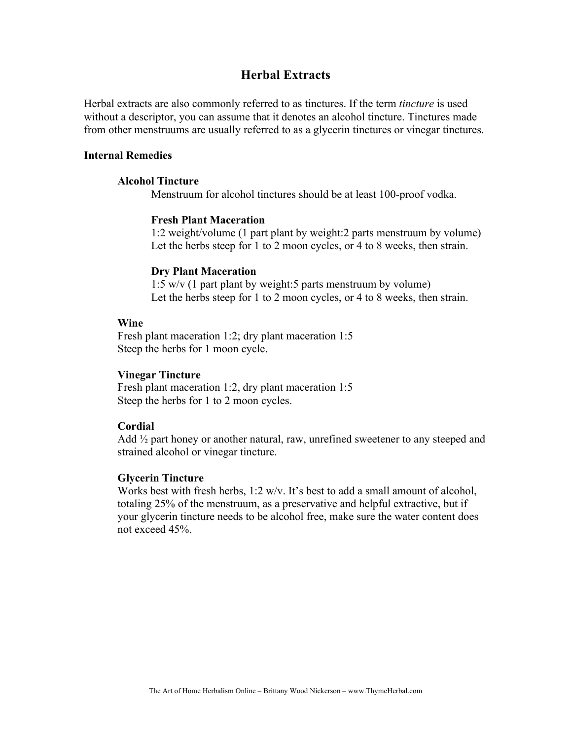# **Herbal Extracts**

Herbal extracts are also commonly referred to as tinctures. If the term *tincture* is used without a descriptor, you can assume that it denotes an alcohol tincture. Tinctures made from other menstruums are usually referred to as a glycerin tinctures or vinegar tinctures.

#### **Internal Remedies**

### **Alcohol Tincture**

Menstruum for alcohol tinctures should be at least 100-proof vodka.

#### **Fresh Plant Maceration**

1:2 weight/volume (1 part plant by weight:2 parts menstruum by volume) Let the herbs steep for 1 to 2 moon cycles, or 4 to 8 weeks, then strain.

### **Dry Plant Maceration**

1:5 w/v (1 part plant by weight:5 parts menstruum by volume) Let the herbs steep for 1 to 2 moon cycles, or 4 to 8 weeks, then strain.

### **Wine**

Fresh plant maceration 1:2; dry plant maceration 1:5 Steep the herbs for 1 moon cycle.

#### **Vinegar Tincture**

Fresh plant maceration 1:2, dry plant maceration 1:5 Steep the herbs for 1 to 2 moon cycles.

# **Cordial**

Add  $\frac{1}{2}$  part honey or another natural, raw, unrefined sweetener to any steeped and strained alcohol or vinegar tincture.

#### **Glycerin Tincture**

Works best with fresh herbs, 1:2 w/v. It's best to add a small amount of alcohol, totaling 25% of the menstruum, as a preservative and helpful extractive, but if your glycerin tincture needs to be alcohol free, make sure the water content does not exceed 45%.